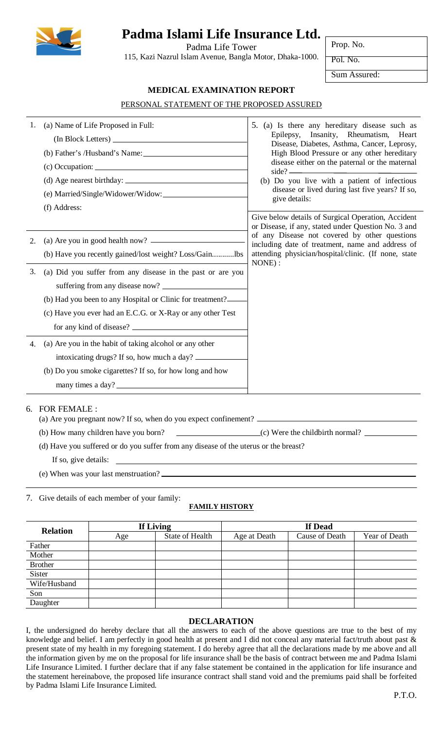

# **Padma Islami Life Insurance Ltd.**

Padma Life Tower 115, Kazi Nazrul Islam Avenue, Bangla Motor, Dhaka-1000. Prop. No.

Pol. No.

Sum Assured:

## **MEDICAL EXAMINATION REPORT**

PERSONAL STATEMENT OF THE PROPOSED ASSURED

| 1. | (a) Name of Life Proposed in Full:<br>(f) Address:         | 5. (a) Is there any hereditary disease such as<br>Epilepsy, Insanity, Rheumatism, Heart<br>Disease, Diabetes, Asthma, Cancer, Leprosy,<br>High Blood Pressure or any other hereditary<br>disease either on the paternal or the maternal<br>side?<br>(b) Do you live with a patient of infectious<br>disease or lived during last five years? If so,<br>give details: |
|----|------------------------------------------------------------|----------------------------------------------------------------------------------------------------------------------------------------------------------------------------------------------------------------------------------------------------------------------------------------------------------------------------------------------------------------------|
|    |                                                            | Give below details of Surgical Operation, Accident<br>or Disease, if any, stated under Question No. 3 and                                                                                                                                                                                                                                                            |
| 2. |                                                            | of any Disease not covered by other questions<br>including date of treatment, name and address of                                                                                                                                                                                                                                                                    |
|    | (b) Have you recently gained/lost weight? Loss/Gainlbs     | attending physician/hospital/clinic. (If none, state<br>NONE):                                                                                                                                                                                                                                                                                                       |
| 3. | (a) Did you suffer from any disease in the past or are you |                                                                                                                                                                                                                                                                                                                                                                      |
|    |                                                            |                                                                                                                                                                                                                                                                                                                                                                      |
|    | (b) Had you been to any Hospital or Clinic for treatment?  |                                                                                                                                                                                                                                                                                                                                                                      |
|    | (c) Have you ever had an E.C.G. or X-Ray or any other Test |                                                                                                                                                                                                                                                                                                                                                                      |
|    |                                                            |                                                                                                                                                                                                                                                                                                                                                                      |
| 4. | (a) Are you in the habit of taking alcohol or any other    |                                                                                                                                                                                                                                                                                                                                                                      |
|    | intoxicating drugs? If so, how much a day?                 |                                                                                                                                                                                                                                                                                                                                                                      |
|    | (b) Do you smoke cigarettes? If so, for how long and how   |                                                                                                                                                                                                                                                                                                                                                                      |
|    | many times a day?                                          |                                                                                                                                                                                                                                                                                                                                                                      |
|    |                                                            |                                                                                                                                                                                                                                                                                                                                                                      |

6. FOR FEMALE :

- (a) Are you pregnant now? If so, when do you expect confinement?
- (b) How many children have you born? (c) Were the childbirth normal?
- (d) Have you suffered or do you suffer from any disease of the uterus or the breast?

If so, give details:

(e) When was your last menstruation?

7. Give details of each member of your family:

## **FAMILY HISTORY**

| <b>Relation</b> | If Living |                 | If Dead      |                       |               |
|-----------------|-----------|-----------------|--------------|-----------------------|---------------|
|                 | Age       | State of Health | Age at Death | <b>Cause of Death</b> | Year of Death |
| Father          |           |                 |              |                       |               |
| Mother          |           |                 |              |                       |               |
| <b>Brother</b>  |           |                 |              |                       |               |
| Sister          |           |                 |              |                       |               |
| Wife/Husband    |           |                 |              |                       |               |
| Son             |           |                 |              |                       |               |
| Daughter        |           |                 |              |                       |               |

## **DECLARATION**

I, the undersigned do hereby declare that all the answers to each of the above questions are true to the best of my knowledge and belief. I am perfectly in good health at present and I did not conceal any material fact/truth about past & present state of my health in my foregoing statement. I do hereby agree that all the declarations made by me above and all the information given by me on the proposal for life insurance shall be the basis of contract between me and Padma Islami Life Insurance Limited. I further declare that if any false statement be contained in the application for life insurance and the statement hereinabove, the proposed life insurance contract shall stand void and the premiums paid shall be forfeited by Padma Islami Life Insurance Limited.